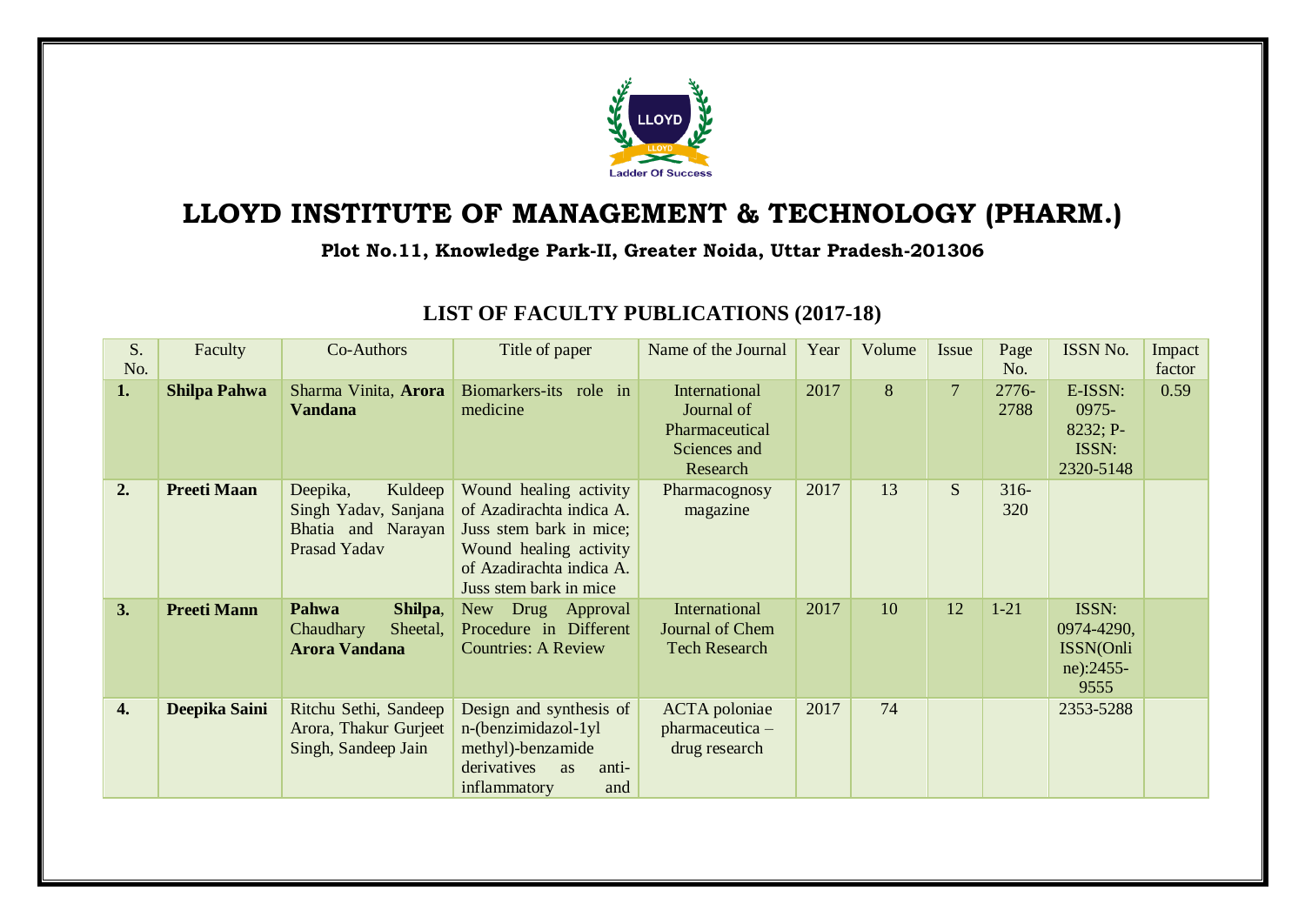

## **LLOYD INSTITUTE OF MANAGEMENT & TECHNOLOGY (PHARM.)**

**Plot No.11, Knowledge Park-II, Greater Noida, Uttar Pradesh-201306**

| S.<br>No. | Faculty             | Co-Authors                                                                        | Title of paper                                                                                                                                                | Name of the Journal                                                       | Year | Volume | Issue          | Page<br>No.    | ISSN No.                                              | Impact<br>factor |
|-----------|---------------------|-----------------------------------------------------------------------------------|---------------------------------------------------------------------------------------------------------------------------------------------------------------|---------------------------------------------------------------------------|------|--------|----------------|----------------|-------------------------------------------------------|------------------|
| 1.        | <b>Shilpa Pahwa</b> | Sharma Vinita, Arora<br><b>Vandana</b>                                            | Biomarkers-its role in<br>medicine                                                                                                                            | International<br>Journal of<br>Pharmaceutical<br>Sciences and<br>Research | 2017 | 8      | $\overline{7}$ | 2776-<br>2788  | E-ISSN:<br>0975-<br>8232; P-<br>ISSN:<br>2320-5148    | 0.59             |
| 2.        | <b>Preeti Maan</b>  | Deepika,<br>Kuldeep<br>Singh Yadav, Sanjana<br>Bhatia and Narayan<br>Prasad Yadav | Wound healing activity<br>of Azadirachta indica A.<br>Juss stem bark in mice;<br>Wound healing activity<br>of Azadirachta indica A.<br>Juss stem bark in mice | Pharmacognosy<br>magazine                                                 | 2017 | 13     | S              | $316 -$<br>320 |                                                       |                  |
| 3.        | <b>Preeti Mann</b>  | Pahwa<br>Shilpa,<br>Chaudhary<br>Sheetal,<br><b>Arora Vandana</b>                 | New Drug Approval<br>Procedure in Different<br><b>Countries: A Review</b>                                                                                     | International<br>Journal of Chem<br><b>Tech Research</b>                  | 2017 | 10     | 12             | $1-21$         | ISSN:<br>0974-4290,<br>ISSN(Onli<br>ne):2455-<br>9555 |                  |
| 4.        | Deepika Saini       | Ritchu Sethi, Sandeep<br>Arora, Thakur Gurjeet<br>Singh, Sandeep Jain             | Design and synthesis of<br>n-(benzimidazol-1yl<br>methyl)-benzamide<br>derivatives<br>anti-<br><b>as</b><br>inflammatory<br>and                               | <b>ACTA</b> poloniae<br>pharmaceutica -<br>drug research                  | 2017 | 74     |                |                | 2353-5288                                             |                  |

## **LIST OF FACULTY PUBLICATIONS (2017-18)**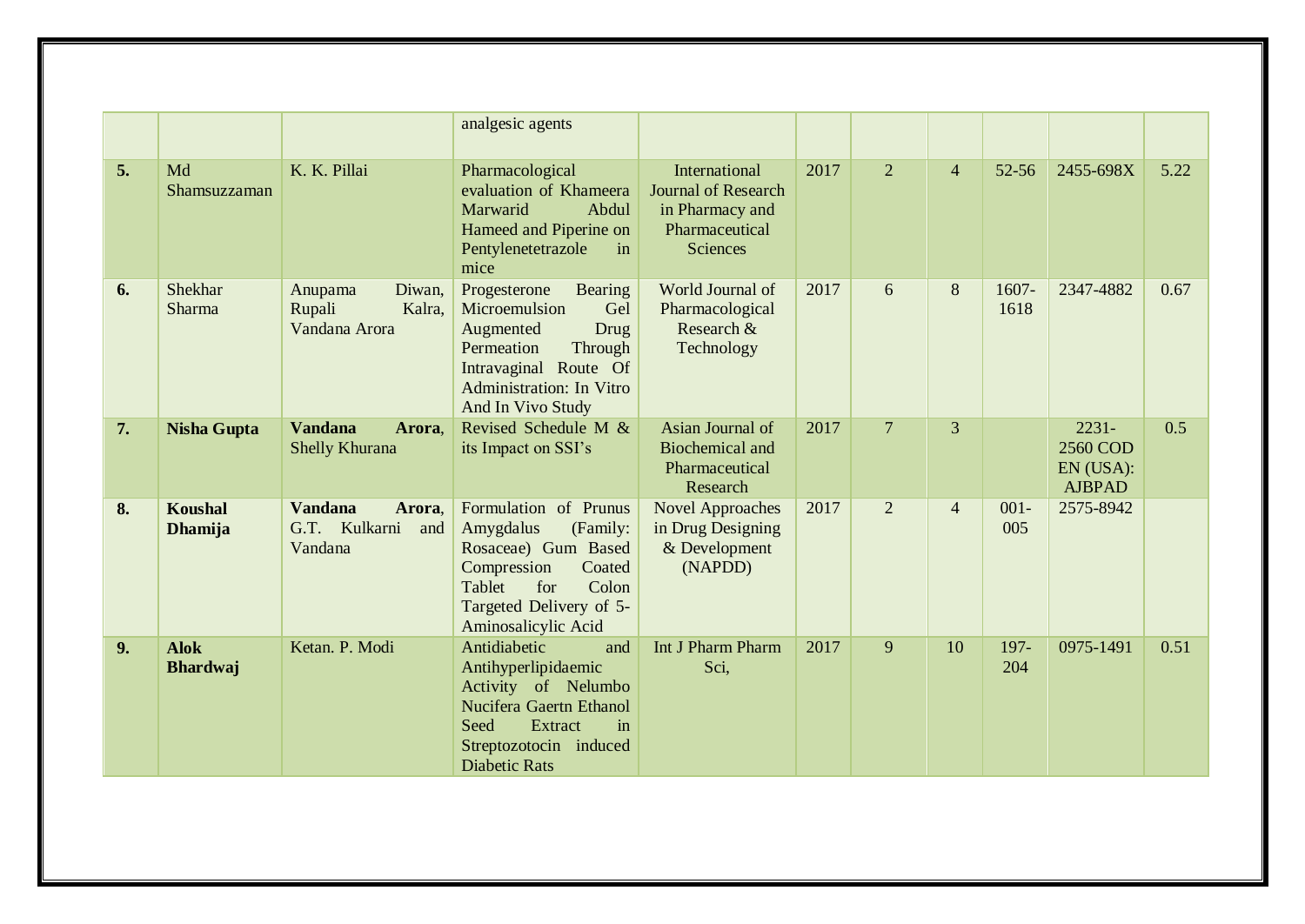|    |                                  |                                                             | analgesic agents                                                                                                                                                               |                                                                                              |      |                |                |                |                                                    |      |
|----|----------------------------------|-------------------------------------------------------------|--------------------------------------------------------------------------------------------------------------------------------------------------------------------------------|----------------------------------------------------------------------------------------------|------|----------------|----------------|----------------|----------------------------------------------------|------|
| 5. | Md<br>Shamsuzzaman               | K. K. Pillai                                                | Pharmacological<br>evaluation of Khameera<br>Marwarid<br>Abdul<br>Hameed and Piperine on<br>Pentylenetetrazole<br>in<br>mice                                                   | International<br><b>Journal of Research</b><br>in Pharmacy and<br>Pharmaceutical<br>Sciences | 2017 | $\overline{2}$ | $\overline{4}$ | $52 - 56$      | 2455-698X                                          | 5.22 |
| 6. | Shekhar<br><b>Sharma</b>         | Diwan,<br>Anupama<br>Kalra,<br>Rupali<br>Vandana Arora      | Bearing<br>Progesterone<br>Microemulsion<br>Gel<br>Drug<br>Augmented<br>Permeation<br>Through<br>Intravaginal Route Of<br><b>Administration: In Vitro</b><br>And In Vivo Study | World Journal of<br>Pharmacological<br>Research &<br>Technology                              | 2017 | 6              | 8              | 1607-<br>1618  | 2347-4882                                          | 0.67 |
| 7. | <b>Nisha Gupta</b>               | <b>Vandana</b><br>Arora,<br>Shelly Khurana                  | Revised Schedule M &<br>its Impact on SSI's                                                                                                                                    | Asian Journal of<br><b>Biochemical</b> and<br>Pharmaceutical<br>Research                     | 2017 | $\overline{7}$ | 3              |                | $2231 -$<br>2560 COD<br>EN (USA):<br><b>AJBPAD</b> | 0.5  |
| 8. | <b>Koushal</b><br><b>Dhamija</b> | <b>Vandana</b><br>Arora,<br>G.T. Kulkarni<br>and<br>Vandana | Formulation of Prunus<br>Amygdalus<br>(Family:<br>Rosaceae) Gum Based<br>Compression<br>Coated<br>Tablet<br>Colon<br>for<br>Targeted Delivery of 5-<br>Aminosalicylic Acid     | <b>Novel Approaches</b><br>in Drug Designing<br>& Development<br>(NAPDD)                     | 2017 | $\overline{2}$ | $\overline{4}$ | $001 -$<br>005 | 2575-8942                                          |      |
| 9. | <b>Alok</b><br><b>Bhardwaj</b>   | Ketan. P. Modi                                              | Antidiabetic<br>and<br>Antihyperlipidaemic<br>Activity of Nelumbo<br>Nucifera Gaertn Ethanol<br>Seed<br>Extract<br>in<br>Streptozotocin induced<br><b>Diabetic Rats</b>        | Int J Pharm Pharm<br>Sci,                                                                    | 2017 | 9              | 10             | 197-<br>204    | 0975-1491                                          | 0.51 |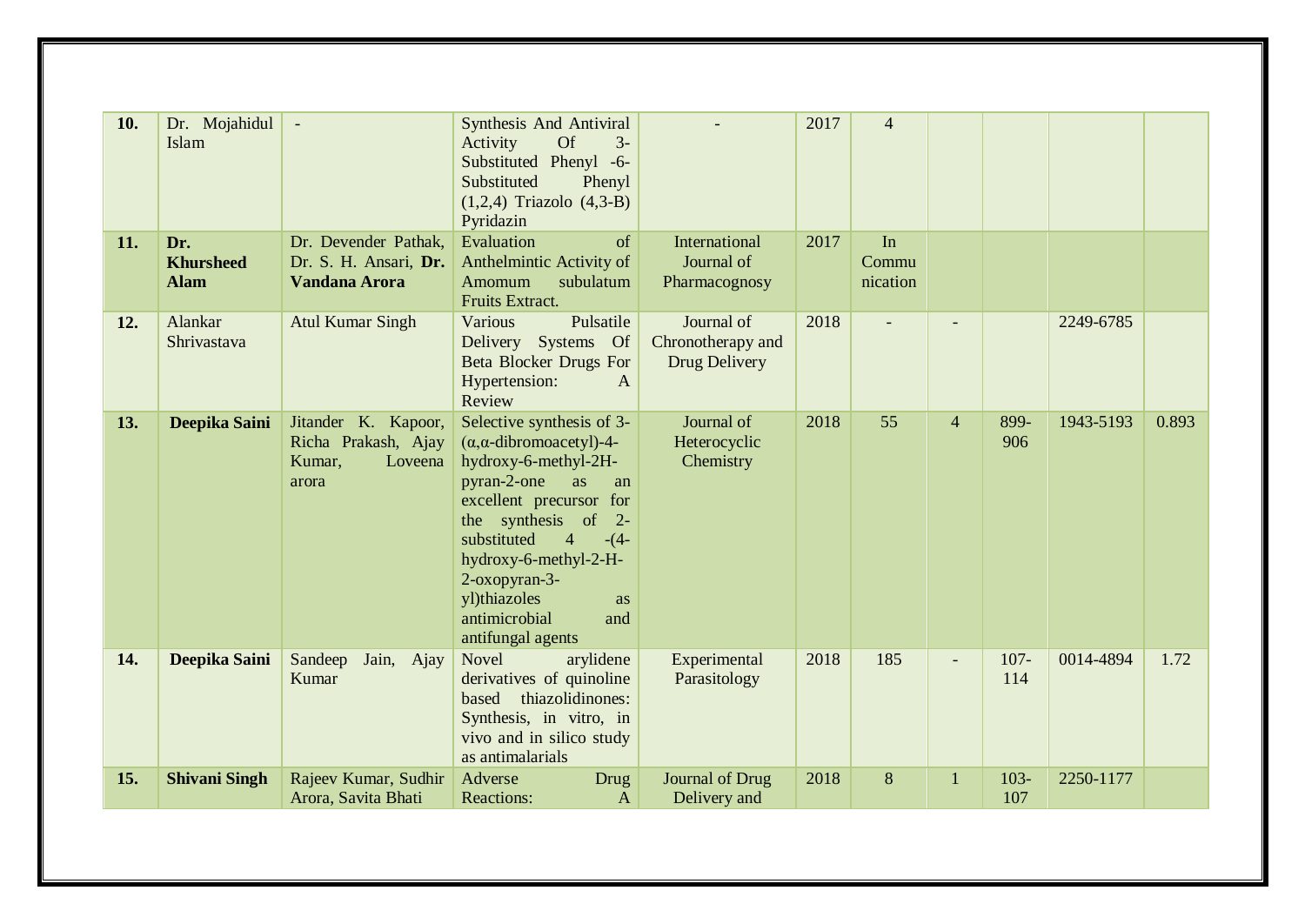| 10. | Dr. Mojahidul<br>Islam                 | $\overline{\phantom{a}}$                                                 | Synthesis And Antiviral<br><b>Of</b><br>Activity<br>$3-$<br>Substituted Phenyl -6-<br>Substituted<br>Phenyl<br>$(1,2,4)$ Triazolo $(4,3-B)$<br>Pyridazin                                                                                                                                                                       |                                                  | 2017 | $\overline{4}$          |                |                |           |       |
|-----|----------------------------------------|--------------------------------------------------------------------------|--------------------------------------------------------------------------------------------------------------------------------------------------------------------------------------------------------------------------------------------------------------------------------------------------------------------------------|--------------------------------------------------|------|-------------------------|----------------|----------------|-----------|-------|
| 11. | Dr.<br><b>Khursheed</b><br><b>Alam</b> | Dr. Devender Pathak,<br>Dr. S. H. Ansari, Dr.<br>Vandana Arora           | Evaluation<br>of<br>Anthelmintic Activity of<br>Amomum<br>subulatum<br>Fruits Extract.                                                                                                                                                                                                                                         | International<br>Journal of<br>Pharmacognosy     | 2017 | In<br>Commu<br>nication |                |                |           |       |
| 12. | Alankar<br>Shrivastava                 | <b>Atul Kumar Singh</b>                                                  | Pulsatile<br>Various<br>Delivery Systems Of<br><b>Beta Blocker Drugs For</b><br>Hypertension:<br>$\mathbf{A}$<br>Review                                                                                                                                                                                                        | Journal of<br>Chronotherapy and<br>Drug Delivery | 2018 |                         |                |                | 2249-6785 |       |
| 13. | Deepika Saini                          | Jitander K. Kapoor,<br>Richa Prakash, Ajay<br>Loveena<br>Kumar,<br>arora | Selective synthesis of 3-<br>$(\alpha, \alpha$ -dibromoacetyl)-4-<br>hydroxy-6-methyl-2H-<br>pyran-2-one<br>as<br>an<br>excellent precursor for<br>the synthesis of 2-<br>substituted<br>$\overline{4}$<br>$-(4-$<br>hydroxy-6-methyl-2-H-<br>2-oxopyran-3-<br>yl)thiazoles<br>as<br>antimicrobial<br>and<br>antifungal agents | Journal of<br>Heterocyclic<br>Chemistry          | 2018 | 55                      | $\overline{4}$ | 899-<br>906    | 1943-5193 | 0.893 |
| 14. | Deepika Saini                          | Jain, Ajay<br>Sandeep<br>Kumar                                           | <b>Novel</b><br>arylidene<br>derivatives of quinoline<br>thiazolidinones:<br>based<br>Synthesis, in vitro, in<br>vivo and in silico study<br>as antimalarials                                                                                                                                                                  | Experimental<br>Parasitology                     | 2018 | 185                     |                | $107 -$<br>114 | 0014-4894 | 1.72  |
| 15. | <b>Shivani Singh</b>                   | Rajeev Kumar, Sudhir<br>Arora, Savita Bhati                              | Adverse<br><b>Drug</b><br><b>Reactions:</b><br>$\mathbf{A}$                                                                                                                                                                                                                                                                    | Journal of Drug<br>Delivery and                  | 2018 | 8                       | 1              | $103 -$<br>107 | 2250-1177 |       |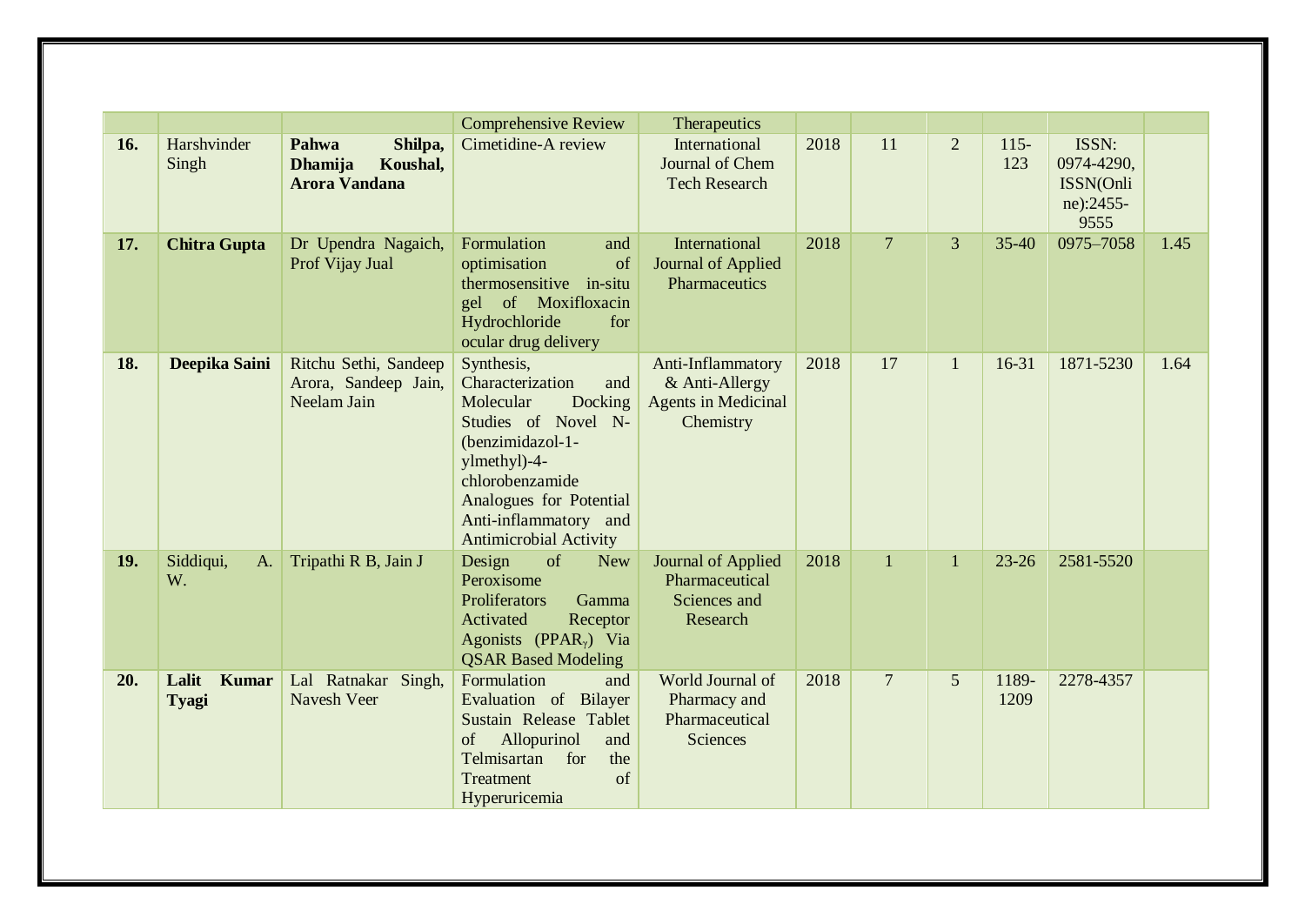|     |                                |                                                                        | <b>Comprehensive Review</b>                                                                                                                                                                                                      | Therapeutics                                                                   |      |                 |                |                |                                                       |      |
|-----|--------------------------------|------------------------------------------------------------------------|----------------------------------------------------------------------------------------------------------------------------------------------------------------------------------------------------------------------------------|--------------------------------------------------------------------------------|------|-----------------|----------------|----------------|-------------------------------------------------------|------|
| 16. | Harshvinder<br>Singh           | Pahwa<br>Shilpa,<br><b>Dhamija</b><br>Koushal,<br><b>Arora Vandana</b> | Cimetidine-A review                                                                                                                                                                                                              | International<br>Journal of Chem<br><b>Tech Research</b>                       | 2018 | 11              | $\overline{2}$ | $115 -$<br>123 | ISSN:<br>0974-4290,<br>ISSN(Onli<br>ne):2455-<br>9555 |      |
| 17. | <b>Chitra Gupta</b>            | Dr Upendra Nagaich,<br>Prof Vijay Jual                                 | Formulation<br>and<br>of<br>optimisation<br>thermosensitive in-situ<br>gel of Moxifloxacin<br>Hydrochloride<br>for<br>ocular drug delivery                                                                                       | International<br>Journal of Applied<br>Pharmaceutics                           | 2018 | $\overline{7}$  | $\overline{3}$ | $35 - 40$      | 0975-7058                                             | 1.45 |
| 18. | Deepika Saini                  | Ritchu Sethi, Sandeep<br>Arora, Sandeep Jain,<br>Neelam Jain           | Synthesis,<br>Characterization<br>and<br>Docking<br>Molecular<br>Studies of Novel N-<br>(benzimidazol-1-<br>ylmethyl)-4-<br>chlorobenzamide<br>Analogues for Potential<br>Anti-inflammatory and<br><b>Antimicrobial Activity</b> | Anti-Inflammatory<br>& Anti-Allergy<br><b>Agents in Medicinal</b><br>Chemistry | 2018 | 17              | $\mathbf{1}$   | $16 - 31$      | 1871-5230                                             | 1.64 |
| 19. | Siddiqui,<br>A.<br>W.          | Tripathi R B, Jain J                                                   | of<br>Design<br><b>New</b><br>Peroxisome<br>Proliferators<br>Gamma<br>Activated<br>Receptor<br>Agonists (PPAR <sub><math>\gamma</math></sub> ) Via<br><b>QSAR Based Modeling</b>                                                 | Journal of Applied<br>Pharmaceutical<br>Sciences and<br>Research               | 2018 | $\overline{1}$  | $\mathbf{1}$   | $23 - 26$      | 2581-5520                                             |      |
| 20. | Lalit<br><b>Kumar</b><br>Tyagi | Lal Ratnakar Singh,<br>Navesh Veer                                     | Formulation<br>and<br>Evaluation of Bilayer<br>Sustain Release Tablet<br>Allopurinol<br>of<br>and<br>Telmisartan<br>for<br>the<br>Treatment<br>of<br>Hyperuricemia                                                               | World Journal of<br>Pharmacy and<br>Pharmaceutical<br>Sciences                 | 2018 | $7\phantom{.0}$ | 5              | 1189-<br>1209  | 2278-4357                                             |      |